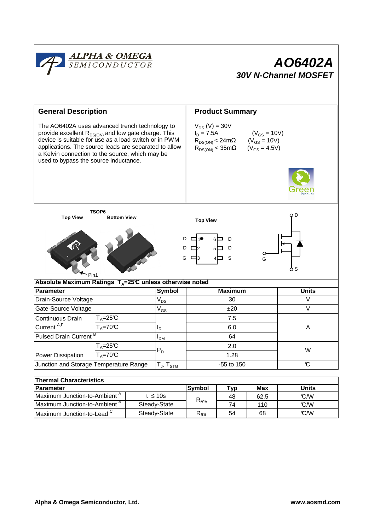

| <b>Parameter</b>                         |              | lSvmbol                           | Tvp | Max  | Units |
|------------------------------------------|--------------|-----------------------------------|-----|------|-------|
| Maximum Junction-to-Ambient <sup>"</sup> | t ≤ 10s      | $\mathsf{R}_{\theta \mathsf{JA}}$ | 48  | 62.5 | C/M   |
| Maximum Junction-to-Ambient <sup>"</sup> | Steady-State |                                   | 74  | 110  | C/M   |
| Maximum Junction-to-Lead <sup>C</sup>    | Steady-State | D<br>¬⊕յլ                         | 54  | 68   | C/M   |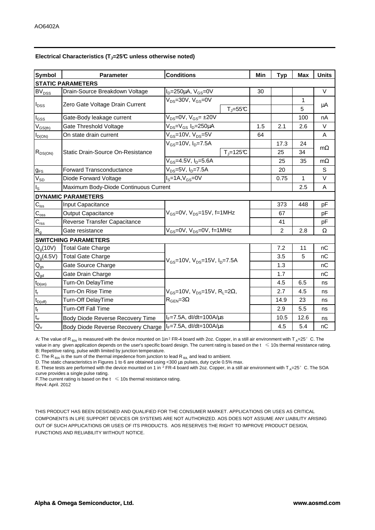| <b>Symbol</b>               | <b>Parameter</b>                      | <b>Conditions</b>                                                                        |             | Min | <b>Typ</b> | <b>Max</b> | <b>Units</b> |  |  |  |  |
|-----------------------------|---------------------------------------|------------------------------------------------------------------------------------------|-------------|-----|------------|------------|--------------|--|--|--|--|
| <b>STATIC PARAMETERS</b>    |                                       |                                                                                          |             |     |            |            |              |  |  |  |  |
| <b>BV<sub>DSS</sub></b>     | Drain-Source Breakdown Voltage        | $I_D = 250 \mu A$ , $V_{GS} = 0V$                                                        |             | 30  |            |            | $\vee$       |  |  |  |  |
| $I_{\text{DSS}}$            | Zero Gate Voltage Drain Current       | $V_{DS}$ =30V, $V_{GS}$ =0V                                                              |             |     |            | 1          | μA           |  |  |  |  |
|                             |                                       |                                                                                          | $T_J = 55C$ |     |            | 5          |              |  |  |  |  |
| l <sub>GSS</sub>            | Gate-Body leakage current             | $V_{DS} = 0V$ , $V_{GS} = \pm 20V$                                                       |             |     |            | 100        | nA           |  |  |  |  |
| $V_{GS(th)}$                | Gate Threshold Voltage                | $V_{DS} = V_{GS} I_D = 250 \mu A$                                                        |             | 1.5 | 2.1        | 2.6        | $\vee$       |  |  |  |  |
| $I_{D(ON)}$                 | On state drain current                | $V_{GS}$ =10V, $V_{DS}$ =5V                                                              |             | 64  |            |            | Α            |  |  |  |  |
| $R_{DS(ON)}$                | Static Drain-Source On-Resistance     | $V_{GS}$ =10V, $I_{D}$ =7.5A                                                             |             |     | 17.3       | 24         | $m\Omega$    |  |  |  |  |
|                             |                                       |                                                                                          | $Tj=125C$   |     | 25         | 34         |              |  |  |  |  |
|                             |                                       | V <sub>GS</sub> =4.5V, I <sub>D</sub> =5.6A                                              |             |     | 25         | 35         | $m\Omega$    |  |  |  |  |
| $g_{FS}$                    | Forward Transconductance              | $V_{DS} = 5V$ , $I_D = 7.5A$                                                             |             |     | 20         |            | S            |  |  |  |  |
| $V_{SD}$                    | Diode Forward Voltage                 | $IS=1A, VGS=0V$                                                                          |             |     | 0.75       | 1          | $\vee$       |  |  |  |  |
| $I_{\rm S}$                 | Maximum Body-Diode Continuous Current |                                                                                          |             |     |            | 2.5        | A            |  |  |  |  |
|                             | <b>DYNAMIC PARAMETERS</b>             |                                                                                          |             |     |            |            |              |  |  |  |  |
| $C_{\text{iss}}$            | Input Capacitance                     | $V_{GS}$ =0V, $V_{DS}$ =15V, f=1MHz                                                      |             |     | 373        | 448        | pF           |  |  |  |  |
| $\mathsf{C}_{\mathrm{oss}}$ | <b>Output Capacitance</b>             |                                                                                          |             |     | 67         |            | pF           |  |  |  |  |
| $C_{\rm rss}$               | Reverse Transfer Capacitance          |                                                                                          |             |     | 41         |            | pF           |  |  |  |  |
| $R_{g}$                     | Gate resistance                       | $V_{GS}$ =0V, $V_{DS}$ =0V, f=1MHz                                                       |             |     | 2          | 2.8        | Ω            |  |  |  |  |
| <b>SWITCHING PARAMETERS</b> |                                       |                                                                                          |             |     |            |            |              |  |  |  |  |
| Q <sub>a</sub> (10V)        | <b>Total Gate Charge</b>              | $V_{GS}$ =10V, $V_{DS}$ =15V, $I_{D}$ =7.5A                                              |             |     | 7.2        | 11         | nC           |  |  |  |  |
| Q <sub>a</sub> (4.5V)       | <b>Total Gate Charge</b>              |                                                                                          |             |     | 3.5        | 5          | nC           |  |  |  |  |
| $Q_{gs}$                    | Gate Source Charge                    |                                                                                          |             |     | 1.3        |            | nC           |  |  |  |  |
| $Q_{gd}$                    | Gate Drain Charge                     |                                                                                          |             |     | 1.7        |            | nC           |  |  |  |  |
| $t_{D(0n)}$                 | Turn-On DelayTime                     | $V_{GS}$ =10V, $V_{DS}$ =15V, R <sub>1</sub> =2 $\Omega$ ,<br>$R_{\text{GEN}} = 3\Omega$ |             |     | 4.5        | 6.5        | ns           |  |  |  |  |
| $t_r$                       | Turn-On Rise Time                     |                                                                                          |             |     | 2.7        | 4.5        | ns           |  |  |  |  |
| $t_{D(\text{off})}$         | <b>Turn-Off DelayTime</b>             |                                                                                          |             |     | 14.9       | 23         | ns           |  |  |  |  |
| $\mathfrak{t}_{\mathsf{f}}$ | <b>Turn-Off Fall Time</b>             |                                                                                          |             |     | 2.9        | 5.5        | ns           |  |  |  |  |
| $t_{rr}$                    | Body Diode Reverse Recovery Time      | $I_F = 7.5A$ , dl/dt=100A/ $\mu$ s                                                       |             |     | 10.5       | 12.6       | ns           |  |  |  |  |
| $Q_{rr}$                    | Body Diode Reverse Recovery Charge    | $I_F$ =7.5A, dl/dt=100A/ $\mu$ s                                                         |             |     | 4.5        | 5.4        | nC           |  |  |  |  |

A: The value of R<sub>θJA</sub> is measured with the device mounted on 1in<sup>2</sup> FR-4 board with 2oz. Copper, in a still air environment with T<sub>A</sub>=25°C. The value in any given application depends on the user's specific board design. The current rating is based on the  $t \leq 10$ s thermal resistance rating. B: Repetitive rating, pulse width limited by junction temperature.

C. The R<sub>BJA</sub> is the sum of the thermal impedence from junction to lead R<sub>BJL</sub> and lead to ambient.

D. The static characteristics in Figures 1 to 6 are obtained using <300 µs pulses, duty cycle 0.5% max.

E. These tests are performed with the device mounted on 1 in <sup>2</sup> FR-4 board with 2oz. Copper, in a still air environment with  $T_A=25^\circ$  C. The SOA curve provides a single pulse rating.

F. The current rating is based on the  $t \leq 10$ s thermal resistance rating.

Rev4: April. 2012

THIS PRODUCT HAS BEEN DESIGNED AND QUALIFIED FOR THE CONSUMER MARKET. APPLICATIONS OR USES AS CRITICAL COMPONENTS IN LIFE SUPPORT DEVICES OR SYSTEMS ARE NOT AUTHORIZED. AOS DOES NOT ASSUME ANY LIABILITY ARISING OUT OF SUCH APPLICATIONS OR USES OF ITS PRODUCTS. AOS RESERVES THE RIGHT TO IMPROVE PRODUCT DESIGN, FUNCTIONS AND RELIABILITY WITHOUT NOTICE.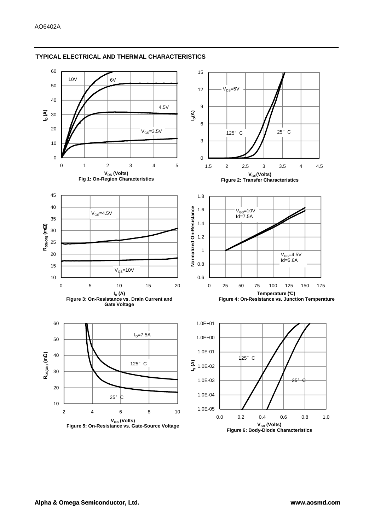

## **TYPICAL ELECTRICAL AND THERMAL CHARACTERISTICS**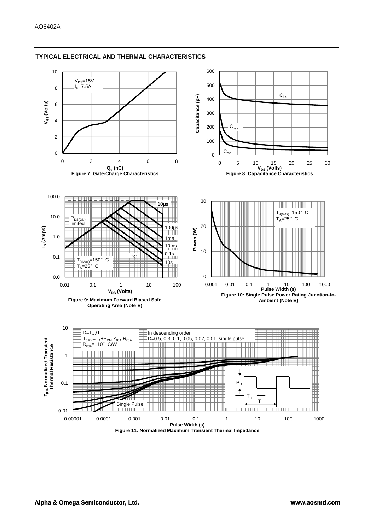

## **TYPICAL ELECTRICAL AND THERMAL CHARACTERISTICS**